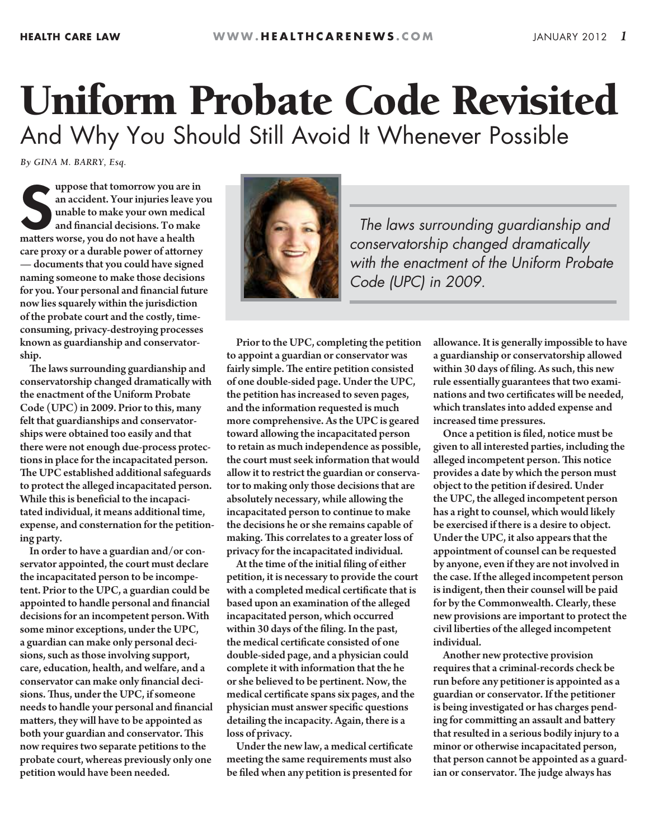## Uniform Probate Code Revisited And Why You Should Still Avoid It Whenever Possible

*By GINA M. BARRY, Esq.*

uppose that tomorrow you are is<br>an accident. Your injuries leave<br>unable to make your own medic<br>and financial decisions. To make<br>matters worse, you do not have a health uppose that tomorrow you are in an accident. Your injuries leave you unable to make your own medical and financial decisions. To make care proxy or a durable power of attorney — documents that you could have signed naming someone to make those decisions for you. Your personal and financial future now lies squarely within the jurisdiction of the probate court and the costly, timeconsuming, privacy-destroying processes known as guardianship and conservatorship.

The laws surrounding guardianship and conservatorship changed dramatically with the enactment of the Uniform Probate Code (UPC) in 2009. Prior to this, many felt that guardianships and conservatorships were obtained too easily and that there were not enough due-process protections in place for the incapacitated person. The UPC established additional safeguards to protect the alleged incapacitated person. While this is beneficial to the incapacitated individual, it means additional time, expense, and consternation for the petitioning party.

In order to have a guardian and/or conservator appointed, the court must declare the incapacitated person to be incompetent. Prior to the UPC, a guardian could be appointed to handle personal and financial decisions for an incompetent person. With some minor exceptions, under the UPC, a guardian can make only personal decisions, such as those involving support, care, education, health, and welfare, and a conservator can make only financial decisions. Thus, under the UPC, if someone needs to handle your personal and financial matters, they will have to be appointed as both your guardian and conservator. This now requires two separate petitions to the probate court, whereas previously only one petition would have been needed.



*The laws surrounding guardianship and conservatorship changed dramatically with the enactment of the Uniform Probate Code (UPC) in 2009.*

Prior to the UPC, completing the petition to appoint a guardian or conservator was fairly simple. The entire petition consisted of one double-sided page. Under the UPC, the petition has increased to seven pages, and the information requested is much more comprehensive. As the UPC is geared toward allowing the incapacitated person to retain as much independence as possible, the court must seek information that would allow it to restrict the guardian or conservator to making only those decisions that are absolutely necessary, while allowing the incapacitated person to continue to make the decisions he or she remains capable of making. This correlates to a greater loss of privacy for the incapacitated individual.

At the time of the initial filing of either petition, it is necessary to provide the court with a completed medical certificate that is based upon an examination of the alleged incapacitated person, which occurred within 30 days of the filing. In the past, the medical certificate consisted of one double-sided page, and a physician could complete it with information that the he or she believed to be pertinent. Now, the medical certificate spans six pages, and the physician must answer specific questions detailing the incapacity. Again, there is a loss of privacy.

Under the new law, a medical certificate meeting the same requirements must also be filed when any petition is presented for

allowance. It is generally impossible to have a guardianship or conservatorship allowed within 30 days of filing. As such, this new rule essentially guarantees that two examinations and two certificates will be needed, which translates into added expense and increased time pressures.

Once a petition is filed, notice must be given to all interested parties, including the alleged incompetent person. This notice provides a date by which the person must object to the petition if desired. Under the UPC, the alleged incompetent person has a right to counsel, which would likely be exercised if there is a desire to object. Under the UPC, it also appears that the appointment of counsel can be requested by anyone, even if they are not involved in the case. If the alleged incompetent person is indigent, then their counsel will be paid for by the Commonwealth. Clearly, these new provisions are important to protect the civil liberties of the alleged incompetent individual.

Another new protective provision requires that a criminal-records check be run before any petitioner is appointed as a guardian or conservator. If the petitioner is being investigated or has charges pending for committing an assault and battery that resulted in a serious bodily injury to a minor or otherwise incapacitated person, that person cannot be appointed as a guardian or conservator. The judge always has